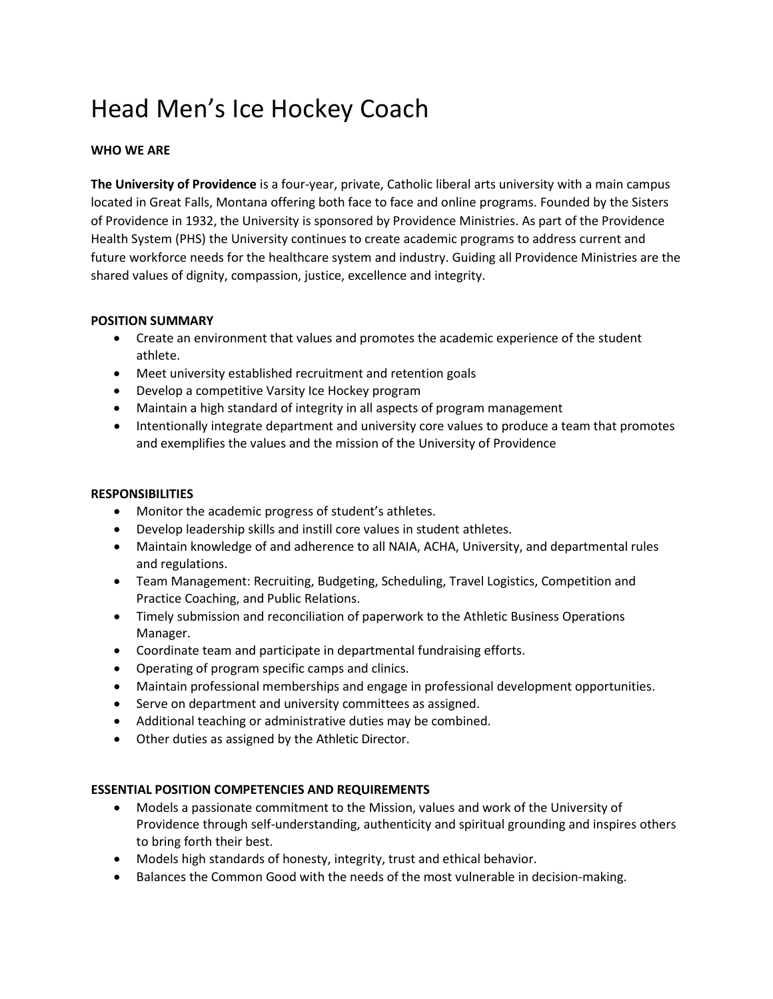# Head Men's Ice Hockey Coach

## **WHO WE ARE**

**The University of Providence** is a four-year, private, Catholic liberal arts university with a main campus located in Great Falls, Montana offering both face to face and online programs. Founded by the Sisters of Providence in 1932, the University is sponsored by Providence Ministries. As part of the Providence Health System (PHS) the University continues to create academic programs to address current and future workforce needs for the healthcare system and industry. Guiding all Providence Ministries are the shared values of dignity, compassion, justice, excellence and integrity.

#### **POSITION SUMMARY**

- Create an environment that values and promotes the academic experience of the student athlete.
- Meet university established recruitment and retention goals
- Develop a competitive Varsity Ice Hockey program
- Maintain a high standard of integrity in all aspects of program management
- Intentionally integrate department and university core values to produce a team that promotes and exemplifies the values and the mission of the University of Providence

#### **RESPONSIBILITIES**

- Monitor the academic progress of student's athletes.
- Develop leadership skills and instill core values in student athletes.
- Maintain knowledge of and adherence to all NAIA, ACHA, University, and departmental rules and regulations.
- Team Management: Recruiting, Budgeting, Scheduling, Travel Logistics, Competition and Practice Coaching, and Public Relations.
- Timely submission and reconciliation of paperwork to the Athletic Business Operations Manager.
- Coordinate team and participate in departmental fundraising efforts.
- Operating of program specific camps and clinics.
- Maintain professional memberships and engage in professional development opportunities.
- Serve on department and university committees as assigned.
- Additional teaching or administrative duties may be combined.
- Other duties as assigned by the Athletic Director.

#### **ESSENTIAL POSITION COMPETENCIES AND REQUIREMENTS**

- Models a passionate commitment to the Mission, values and work of the University of Providence through self-understanding, authenticity and spiritual grounding and inspires others to bring forth their best.
- Models high standards of honesty, integrity, trust and ethical behavior.
- Balances the Common Good with the needs of the most vulnerable in decision-making.